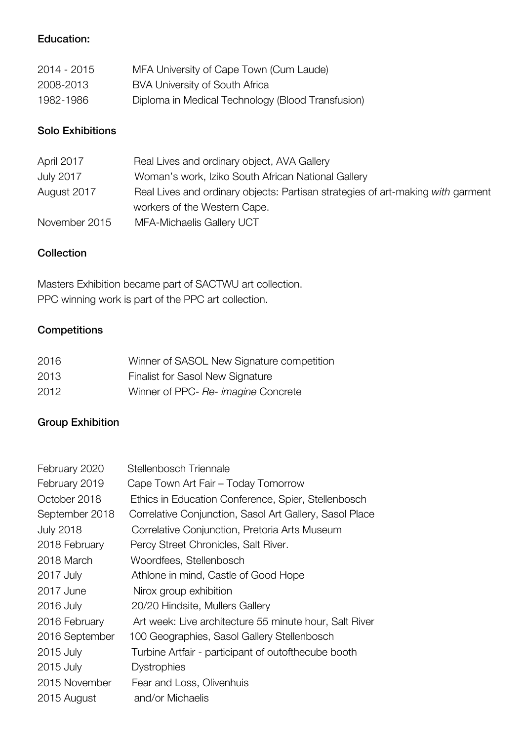### Education:

| 2014 - 2015 | MFA University of Cape Town (Cum Laude)           |
|-------------|---------------------------------------------------|
| 2008-2013   | BVA University of South Africa                    |
| 1982-1986   | Diploma in Medical Technology (Blood Transfusion) |

#### Solo Exhibitions

| April 2017       | Real Lives and ordinary object, AVA Gallery                                     |
|------------------|---------------------------------------------------------------------------------|
| <b>July 2017</b> | Woman's work, Iziko South African National Gallery                              |
| August 2017      | Real Lives and ordinary objects: Partisan strategies of art-making with garment |
|                  | workers of the Western Cape.                                                    |
| November 2015    | MFA-Michaelis Gallery UCT                                                       |

#### **Collection**

Masters Exhibition became part of SACTWU art collection. PPC winning work is part of the PPC art collection.

## **Competitions**

| 2016 | Winner of SASOL New Signature competition |
|------|-------------------------------------------|
| 2013 | Finalist for Sasol New Signature          |
| 2012 | Winner of PPC- Re- imagine Concrete       |

## Group Exhibition

| February 2020    | Stellenbosch Triennale                                  |
|------------------|---------------------------------------------------------|
| February 2019    | Cape Town Art Fair - Today Tomorrow                     |
| October 2018     | Ethics in Education Conference, Spier, Stellenbosch     |
| September 2018   | Correlative Conjunction, Sasol Art Gallery, Sasol Place |
| <b>July 2018</b> | Correlative Conjunction, Pretoria Arts Museum           |
| 2018 February    | Percy Street Chronicles, Salt River.                    |
| 2018 March       | Woordfees, Stellenbosch                                 |
| 2017 July        | Athlone in mind, Castle of Good Hope                    |
| 2017 June        | Nirox group exhibition                                  |
| 2016 July        | 20/20 Hindsite, Mullers Gallery                         |
| 2016 February    | Art week: Live architecture 55 minute hour, Salt River  |
| 2016 September   | 100 Geographies, Sasol Gallery Stellenbosch             |
| 2015 July        | Turbine Artfair - participant of outofthecube booth     |
| 2015 July        | <b>Dystrophies</b>                                      |
| 2015 November    | Fear and Loss, Olivenhuis                               |
| 2015 August      | and/or Michaelis                                        |